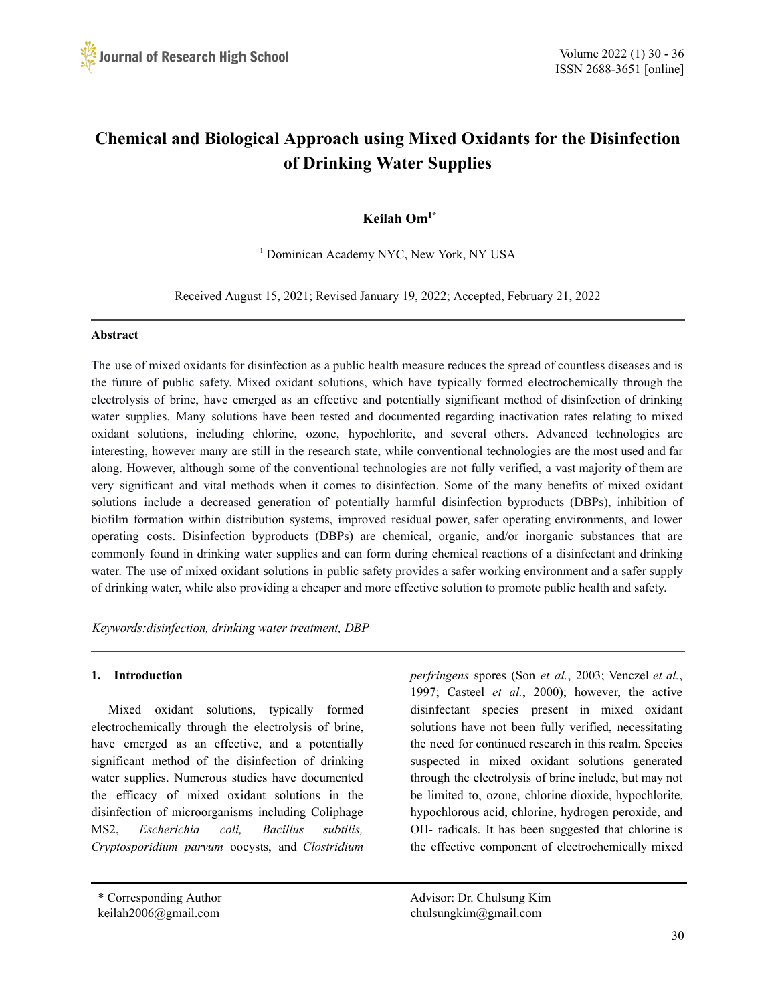

# **Chemical and Biological Approach using Mixed Oxidants for the Disinfection of Drinking Water Supplies**

# **Keilah Om1\***

<sup>1</sup> Dominican Academy NYC, New York, NY USA

Received August 15, 2021; Revised January 19, 2022; Accepted, February 21, 2022

#### **Abstract**

The use of mixed oxidants for disinfection as a public health measure reduces the spread of countless diseases and is the future of public safety. Mixed oxidant solutions, which have typically formed electrochemically through the electrolysis of brine, have emerged as an effective and potentially significant method of disinfection of drinking water supplies. Many solutions have been tested and documented regarding inactivation rates relating to mixed oxidant solutions, including chlorine, ozone, hypochlorite, and several others. Advanced technologies are interesting, however many are still in the research state, while conventional technologies are the most used and far along. However, although some of the conventional technologies are not fully verified, a vast majority of them are very significant and vital methods when it comes to disinfection. Some of the many benefits of mixed oxidant solutions include a decreased generation of potentially harmful disinfection byproducts (DBPs), inhibition of biofilm formation within distribution systems, improved residual power, safer operating environments, and lower operating costs. Disinfection byproducts (DBPs) are chemical, organic, and/or inorganic substances that are commonly found in drinking water supplies and can form during chemical reactions of a disinfectant and drinking water. The use of mixed oxidant solutions in public safety provides a safer working environment and a safer supply of drinking water, while also providing a cheaper and more effective solution to promote public health and safety.

*Keywords:disinfection, drinking water treatment, DBP*

#### **1. Introduction**

Mixed oxidant solutions, typically formed electrochemically through the electrolysis of brine, have emerged as an effective, and a potentially significant method of the disinfection of drinking water supplies. Numerous studies have documented the efficacy of mixed oxidant solutions in the disinfection of microorganisms including Coliphage MS2, *Escherichia coli, Bacillus subtilis, Cryptosporidium parvum* oocysts, and *Clostridium*

*perfringens* spores (Son *et al.*, 2003; Venczel *et al.*, 1997; Casteel *et al.*, 2000); however, the active disinfectant species present in mixed oxidant solutions have not been fully verified, necessitating the need for continued research in this realm. Species suspected in mixed oxidant solutions generated through the electrolysis of brine include, but may not be limited to, ozone, chlorine dioxide, hypochlorite, hypochlorous acid, chlorine, hydrogen peroxide, and OH- radicals. It has been suggested that chlorine is the effective component of electrochemically mixed

\* Corresponding Author Advisor: Dr. Chulsung Kim keilah2006@gmail.com chulsungkim@gmail.com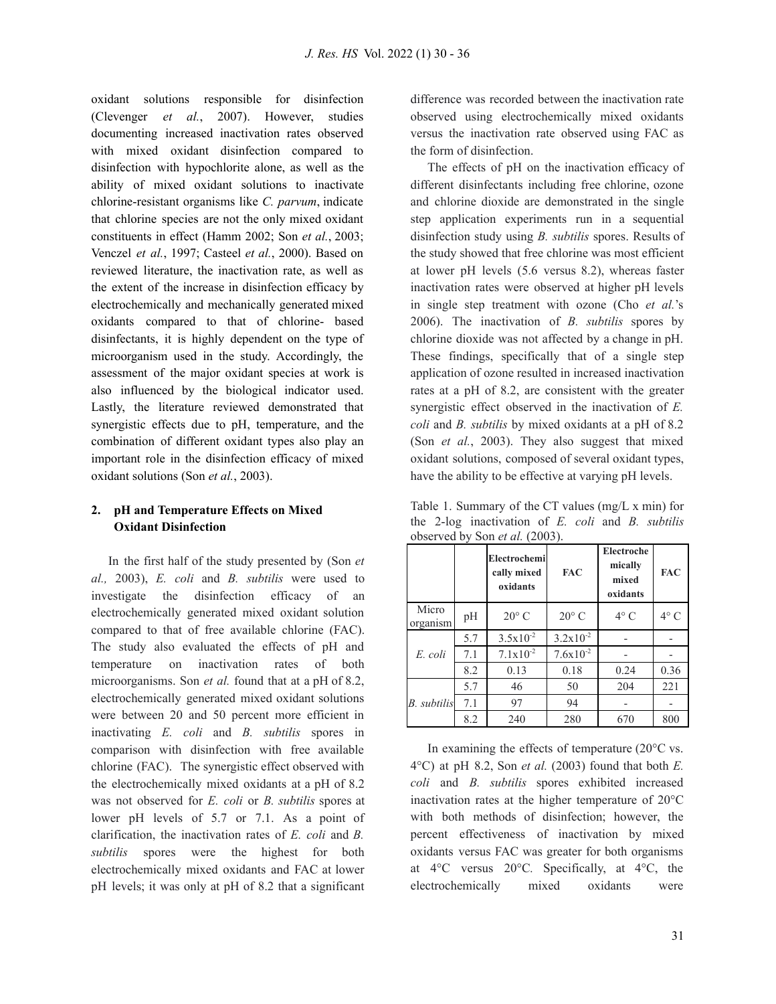oxidant solutions responsible for disinfection (Clevenger *et al.*, 2007). However, studies documenting increased inactivation rates observed with mixed oxidant disinfection compared to disinfection with hypochlorite alone, as well as the ability of mixed oxidant solutions to inactivate chlorine-resistant organisms like *C. parvum*, indicate that chlorine species are not the only mixed oxidant constituents in effect (Hamm 2002; Son *et al.*, 2003; Venczel *et al.*, 1997; Casteel *et al.*, 2000). Based on reviewed literature, the inactivation rate, as well as the extent of the increase in disinfection efficacy by electrochemically and mechanically generated mixed oxidants compared to that of chlorine- based disinfectants, it is highly dependent on the type of microorganism used in the study. Accordingly, the assessment of the major oxidant species at work is also influenced by the biological indicator used. Lastly, the literature reviewed demonstrated that synergistic effects due to pH, temperature, and the combination of different oxidant types also play an important role in the disinfection efficacy of mixed oxidant solutions (Son *et al.*, 2003).

# **2. pH and Temperature Effects on Mixed Oxidant Disinfection**

In the first half of the study presented by (Son *et al.,* 2003), *E. coli* and *B. subtilis* were used to investigate the disinfection efficacy of an electrochemically generated mixed oxidant solution compared to that of free available chlorine (FAC). The study also evaluated the effects of pH and temperature on inactivation rates of both microorganisms. Son *et al.* found that at a pH of 8.2, electrochemically generated mixed oxidant solutions were between 20 and 50 percent more efficient in inactivating *E. coli* and *B. subtilis* spores in comparison with disinfection with free available chlorine (FAC). The synergistic effect observed with the electrochemically mixed oxidants at a pH of 8.2 was not observed for *E. coli* or *B. subtilis* spores at lower pH levels of 5.7 or 7.1. As a point of clarification, the inactivation rates of *E. coli* and *B. subtilis* spores were the highest for both electrochemically mixed oxidants and FAC at lower pH levels; it was only at pH of 8.2 that a significant

difference was recorded between the inactivation rate observed using electrochemically mixed oxidants versus the inactivation rate observed using FAC as the form of disinfection.

The effects of pH on the inactivation efficacy of different disinfectants including free chlorine, ozone and chlorine dioxide are demonstrated in the single step application experiments run in a sequential disinfection study using *B. subtilis* spores. Results of the study showed that free chlorine was most efficient at lower pH levels (5.6 versus 8.2), whereas faster inactivation rates were observed at higher pH levels in single step treatment with ozone (Cho *et al.*'s 2006). The inactivation of *B. subtilis* spores by chlorine dioxide was not affected by a change in pH. These findings, specifically that of a single step application of ozone resulted in increased inactivation rates at a pH of 8.2, are consistent with the greater synergistic effect observed in the inactivation of *E. coli* and *B. subtilis* by mixed oxidants at a pH of 8.2 (Son *et al.*, 2003). They also suggest that mixed oxidant solutions, composed of several oxidant types, have the ability to be effective at varying pH levels.

Table 1. Summary of the CT values (mg/L x min) for the 2-log inactivation of *E. coli* and *B. subtilis* observed by Son *et al.* (2003).

|                   |     | Electrochemi<br>cally mixed<br>oxidants | <b>FAC</b>           | Electroche<br>mically<br>mixed<br>oxidants | FAC           |
|-------------------|-----|-----------------------------------------|----------------------|--------------------------------------------|---------------|
| Micro<br>organism | pH  | $20^{\circ}$ C                          | $20^{\circ}$ C       | $4^{\circ}$ C                              | $4^{\circ}$ C |
| E. coli           | 5.7 | $3.5x10^{-2}$                           | $3.2 \times 10^{-2}$ |                                            |               |
|                   | 7.1 | $7.1 \times 10^{-2}$                    | $7.6x10^{-2}$        |                                            |               |
|                   | 8.2 | 0.13                                    | 0.18                 | 0.24                                       | 0.36          |
| B. subtilis       | 5.7 | 46                                      | 50                   | 204                                        | 221           |
|                   | 7.1 | 97                                      | 94                   |                                            |               |
|                   | 8.2 | 240                                     | 280                  | 670                                        | 800           |

In examining the effects of temperature  $(20^{\circ}C \text{ vs.})$ 4°C) at pH 8.2, Son *et al.* (2003) found that both *E. coli* and *B. subtilis* spores exhibited increased inactivation rates at the higher temperature of 20°C with both methods of disinfection; however, the percent effectiveness of inactivation by mixed oxidants versus FAC was greater for both organisms at 4°C versus 20°C*.* Specifically, at 4°C, the electrochemically mixed oxidants were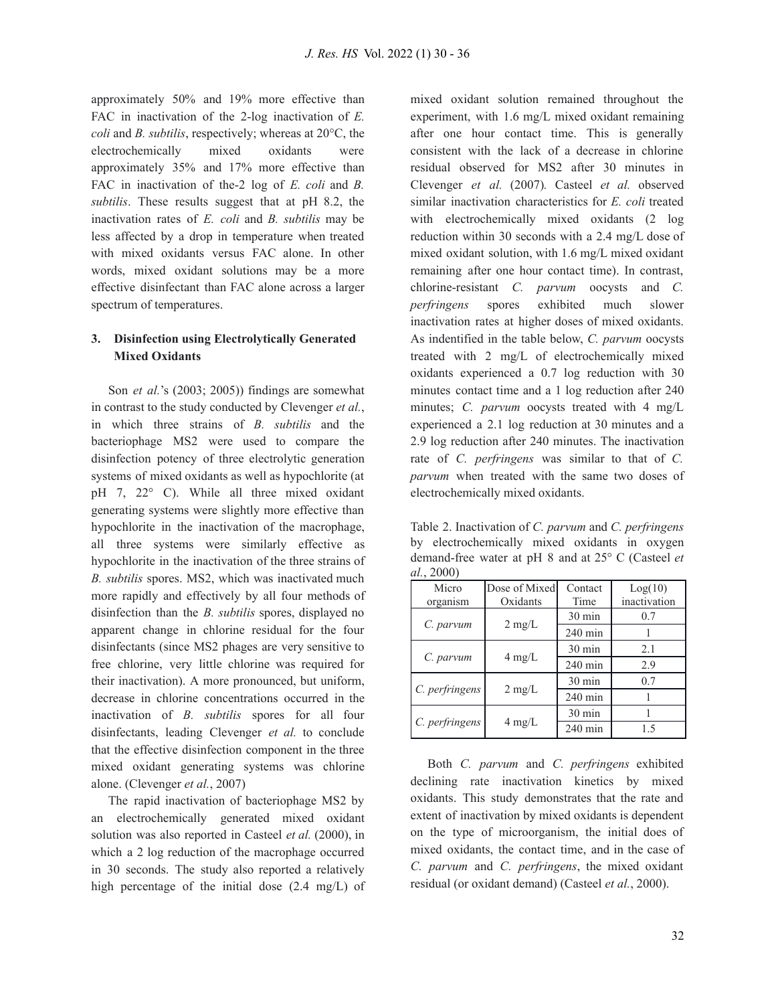approximately 50% and 19% more effective than FAC in inactivation of the 2-log inactivation of *E. coli* and *B. subtilis*, respectively; whereas at 20°C, the electrochemically mixed oxidants were approximately 35% and 17% more effective than FAC in inactivation of the-2 log of *E. coli* and *B. subtilis*. These results suggest that at pH 8.2, the inactivation rates of *E. coli* and *B. subtilis* may be less affected by a drop in temperature when treated with mixed oxidants versus FAC alone. In other words, mixed oxidant solutions may be a more effective disinfectant than FAC alone across a larger spectrum of temperatures.

#### **3. Disinfection using Electrolytically Generated Mixed Oxidants**

Son *et al.*'s (2003; 2005)) findings are somewhat in contrast to the study conducted by Clevenger *et al.*, in which three strains of *B. subtilis* and the bacteriophage MS2 were used to compare the disinfection potency of three electrolytic generation systems of mixed oxidants as well as hypochlorite (at pH 7, 22° C). While all three mixed oxidant generating systems were slightly more effective than hypochlorite in the inactivation of the macrophage, all three systems were similarly effective as hypochlorite in the inactivation of the three strains of *B. subtilis* spores. MS2, which was inactivated much more rapidly and effectively by all four methods of disinfection than the *B. subtilis* spores, displayed no apparent change in chlorine residual for the four disinfectants (since MS2 phages are very sensitive to free chlorine, very little chlorine was required for their inactivation). A more pronounced, but uniform, decrease in chlorine concentrations occurred in the inactivation of *B. subtilis* spores for all four disinfectants, leading Clevenger *et al.* to conclude that the effective disinfection component in the three mixed oxidant generating systems was chlorine alone. (Clevenger *et al.*, 2007)

The rapid inactivation of bacteriophage MS2 by an electrochemically generated mixed oxidant solution was also reported in Casteel *et al.* (2000), in which a 2 log reduction of the macrophage occurred in 30 seconds. The study also reported a relatively high percentage of the initial dose (2.4 mg/L) of

mixed oxidant solution remained throughout the experiment, with 1.6 mg/L mixed oxidant remaining after one hour contact time. This is generally consistent with the lack of a decrease in chlorine residual observed for MS2 after 30 minutes in Clevenger *et al.* (2007)*.* Casteel *et al.* observed similar inactivation characteristics for *E. coli* treated with electrochemically mixed oxidants (2 log reduction within 30 seconds with a 2.4 mg/L dose of mixed oxidant solution, with 1.6 mg/L mixed oxidant remaining after one hour contact time). In contrast, chlorine-resistant *C. parvum* oocysts and *C. perfringens* spores exhibited much slower inactivation rates at higher doses of mixed oxidants. As indentified in the table below, *C. parvum* oocysts treated with 2 mg/L of electrochemically mixed oxidants experienced a 0.7 log reduction with 30 minutes contact time and a 1 log reduction after 240 minutes; *C. parvum* oocysts treated with 4 mg/L experienced a 2.1 log reduction at 30 minutes and a 2.9 log reduction after 240 minutes. The inactivation rate of *C. perfringens* was similar to that of *C. parvum* when treated with the same two doses of electrochemically mixed oxidants.

Table 2. Inactivation of *C. parvum* and *C. perfringens* by electrochemically mixed oxidants in oxygen demand-free water at pH 8 and at 25° C (Casteel *et al.*, 2000)

| Micro<br>organism | Dose of Mixed<br>Oxidants | Contact<br>Time  | Log(10)<br>inactivation |
|-------------------|---------------------------|------------------|-------------------------|
|                   |                           | $30 \text{ min}$ | 0.7                     |
| C. parvum         | $2 \text{ mg/L}$          | $240$ min        |                         |
| C. parvum         | $4 \text{ mg/L}$          | $30 \text{ min}$ | 2.1                     |
|                   |                           | $240$ min        | 2.9                     |
|                   | $2 \text{ mg/L}$          | $30 \text{ min}$ | 0.7                     |
| C. perfringens    |                           | $240$ min        |                         |
|                   | $4 \text{ mg/L}$          | $30 \text{ min}$ |                         |
| C. perfringens    |                           | $240$ min        | 1.5                     |

Both *C. parvum* and *C. perfringens* exhibited declining rate inactivation kinetics by mixed oxidants. This study demonstrates that the rate and extent of inactivation by mixed oxidants is dependent on the type of microorganism, the initial does of mixed oxidants, the contact time, and in the case of *C. parvum* and *C. perfringens*, the mixed oxidant residual (or oxidant demand) (Casteel *et al.*, 2000).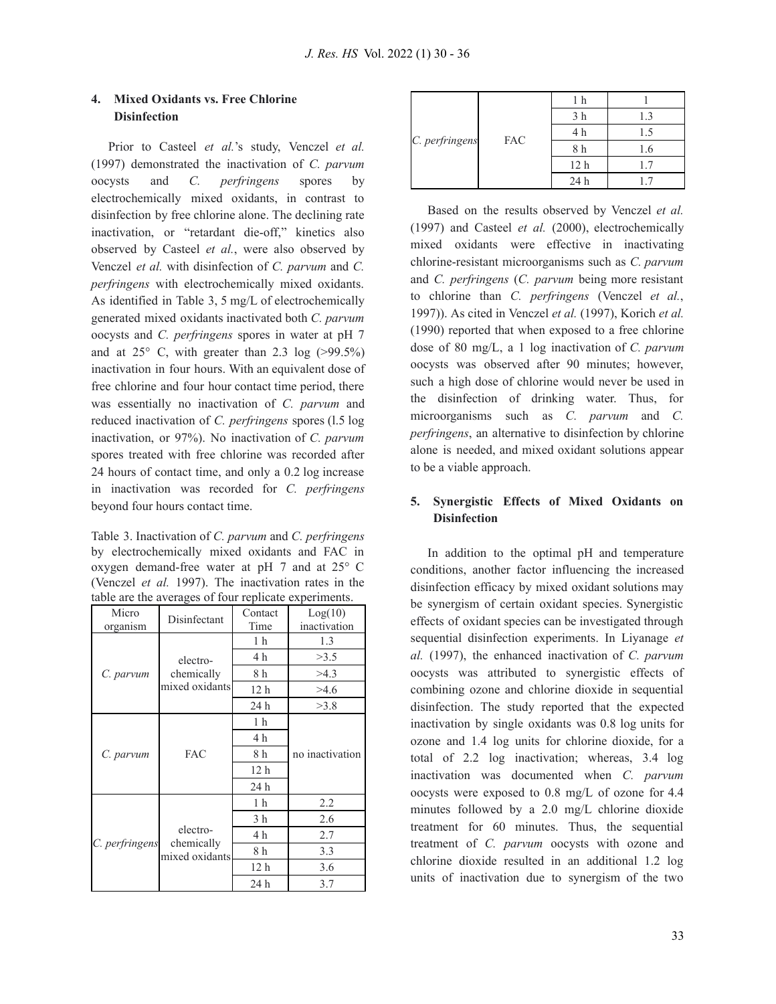# **4. Mixed Oxidants vs. Free Chlorine Disinfection**

Prior to Casteel *et al.*'s study, Venczel *et al.* (1997) demonstrated the inactivation of *C. parvum* oocysts and *C. perfringens* spores by electrochemically mixed oxidants, in contrast to disinfection by free chlorine alone. The declining rate inactivation, or "retardant die-off," kinetics also observed by Casteel *et al.*, were also observed by Venczel *et al.* with disinfection of *C. parvum* and *C. perfringens* with electrochemically mixed oxidants. As identified in Table 3, 5 mg/L of electrochemically generated mixed oxidants inactivated both *C. parvum* oocysts and *C. perfringens* spores in water at pH 7 and at  $25^{\circ}$  C, with greater than 2.3 log ( $>99.5\%$ ) inactivation in four hours. With an equivalent dose of free chlorine and four hour contact time period, there was essentially no inactivation of *C. parvum* and reduced inactivation of *C. perfringens* spores (l.5 log inactivation, or 97%). No inactivation of *C. parvum* spores treated with free chlorine was recorded after 24 hours of contact time, and only a 0.2 log increase in inactivation was recorded for *C. perfringens* beyond four hours contact time.

Table 3. Inactivation of *C. parvum* and *C. perfringens* by electrochemically mixed oxidants and FAC in oxygen demand-free water at pH 7 and at 25° C (Venczel *et al.* 1997). The inactivation rates in the table are the averages of four replicate experiments.

| Micro<br>organism | Disinfectant                             | Contact<br>Time | Log(10)<br>inactivation |  |
|-------------------|------------------------------------------|-----------------|-------------------------|--|
|                   | electro-<br>chemically<br>mixed oxidants | 1 <sub>h</sub>  | 1.3                     |  |
|                   |                                          | 4 h             | >3.5                    |  |
| C. parvum         |                                          | 8 h             | >4.3                    |  |
|                   |                                          | 12 <sub>h</sub> | >4.6                    |  |
|                   |                                          | 24 h            | >3.8                    |  |
|                   | <b>FAC</b>                               | 1 <sub>h</sub>  | no inactivation         |  |
|                   |                                          | 4 h             |                         |  |
| C. parvum         |                                          | 8 h             |                         |  |
|                   |                                          | 12 <sub>h</sub> |                         |  |
|                   |                                          | 24 h            |                         |  |
| C. perfringens    | electro-<br>chemically<br>mixed oxidants | 1 <sub>h</sub>  | 2.2                     |  |
|                   |                                          | 3 <sub>h</sub>  | 2.6                     |  |
|                   |                                          | 4 h             | 2.7                     |  |
|                   |                                          | 8 h             | 3.3                     |  |
|                   |                                          | 12 h            | 3.6                     |  |
|                   |                                          | 24 h            | 3.7                     |  |

| C. perfringens | <b>FAC</b> | h               |     |
|----------------|------------|-----------------|-----|
|                |            | 3 h             | 1.3 |
|                |            | 4 h             | L.5 |
|                |            | 8 h             | 1.6 |
|                |            | 12 <sub>h</sub> |     |
|                |            | 24 h            |     |

Based on the results observed by Venczel *et al.* (1997) and Casteel *et al.* (2000), electrochemically mixed oxidants were effective in inactivating chlorine-resistant microorganisms such as *C. parvum* and *C. perfringens* (*C. parvum* being more resistant to chlorine than *C. perfringens* (Venczel *et al.*, 1997)). As cited in Venczel *et al.* (1997), Korich *et al.* (1990) reported that when exposed to a free chlorine dose of 80 mg/L, a 1 log inactivation of *C. parvum* oocysts was observed after 90 minutes; however, such a high dose of chlorine would never be used in the disinfection of drinking water. Thus, for microorganisms such as *C. parvum* and *C. perfringens*, an alternative to disinfection by chlorine alone is needed, and mixed oxidant solutions appear to be a viable approach.

### **5. Synergistic Effects of Mixed Oxidants on Disinfection**

In addition to the optimal pH and temperature conditions, another factor influencing the increased disinfection efficacy by mixed oxidant solutions may be synergism of certain oxidant species. Synergistic effects of oxidant species can be investigated through sequential disinfection experiments. In Liyanage *et al.* (1997), the enhanced inactivation of *C. parvum* oocysts was attributed to synergistic effects of combining ozone and chlorine dioxide in sequential disinfection. The study reported that the expected inactivation by single oxidants was 0.8 log units for ozone and 1.4 log units for chlorine dioxide, for a total of 2.2 log inactivation; whereas, 3.4 log inactivation was documented when *C. parvum* oocysts were exposed to 0.8 mg/L of ozone for 4.4 minutes followed by a 2.0 mg/L chlorine dioxide treatment for 60 minutes. Thus, the sequential treatment of *C. parvum* oocysts with ozone and chlorine dioxide resulted in an additional 1.2 log units of inactivation due to synergism of the two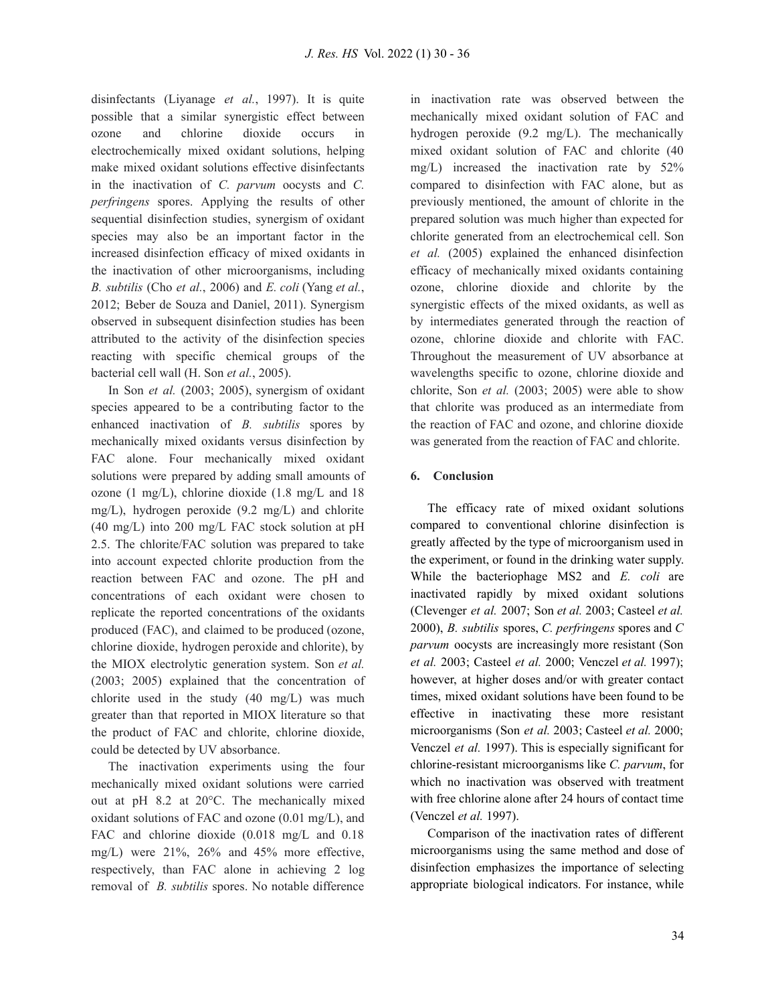disinfectants (Liyanage *et al.*, 1997). It is quite possible that a similar synergistic effect between ozone and chlorine dioxide occurs in electrochemically mixed oxidant solutions, helping make mixed oxidant solutions effective disinfectants in the inactivation of *C. parvum* oocysts and *C. perfringens* spores. Applying the results of other sequential disinfection studies, synergism of oxidant species may also be an important factor in the increased disinfection efficacy of mixed oxidants in the inactivation of other microorganisms, including *B. subtilis* (Cho *et al.*, 2006) and *E. coli* (Yang *et al.*, 2012; Beber de Souza and Daniel, 2011). Synergism observed in subsequent disinfection studies has been attributed to the activity of the disinfection species reacting with specific chemical groups of the bacterial cell wall (H. Son *et al.*, 2005).

In Son *et al.* (2003; 2005), synergism of oxidant species appeared to be a contributing factor to the enhanced inactivation of *B. subtilis* spores by mechanically mixed oxidants versus disinfection by FAC alone. Four mechanically mixed oxidant solutions were prepared by adding small amounts of ozone (1 mg/L), chlorine dioxide (1.8 mg/L and 18 mg/L), hydrogen peroxide (9.2 mg/L) and chlorite (40 mg/L) into 200 mg/L FAC stock solution at pH 2.5. The chlorite/FAC solution was prepared to take into account expected chlorite production from the reaction between FAC and ozone. The pH and concentrations of each oxidant were chosen to replicate the reported concentrations of the oxidants produced (FAC), and claimed to be produced (ozone, chlorine dioxide, hydrogen peroxide and chlorite), by the MIOX electrolytic generation system. Son *et al.* (2003; 2005) explained that the concentration of chlorite used in the study (40 mg/L) was much greater than that reported in MIOX literature so that the product of FAC and chlorite, chlorine dioxide, could be detected by UV absorbance.

The inactivation experiments using the four mechanically mixed oxidant solutions were carried out at pH 8.2 at 20°C. The mechanically mixed oxidant solutions of FAC and ozone (0.01 mg/L), and FAC and chlorine dioxide (0.018 mg/L and 0.18 mg/L) were 21%, 26% and 45% more effective, respectively, than FAC alone in achieving 2 log removal of *B. subtilis* spores. No notable difference

in inactivation rate was observed between the mechanically mixed oxidant solution of FAC and hydrogen peroxide (9.2 mg/L). The mechanically mixed oxidant solution of FAC and chlorite (40 mg/L) increased the inactivation rate by 52% compared to disinfection with FAC alone, but as previously mentioned, the amount of chlorite in the prepared solution was much higher than expected for chlorite generated from an electrochemical cell. Son *et al.* (2005) explained the enhanced disinfection efficacy of mechanically mixed oxidants containing ozone, chlorine dioxide and chlorite by the synergistic effects of the mixed oxidants, as well as by intermediates generated through the reaction of ozone, chlorine dioxide and chlorite with FAC. Throughout the measurement of UV absorbance at wavelengths specific to ozone, chlorine dioxide and chlorite, Son *et al.* (2003; 2005) were able to show that chlorite was produced as an intermediate from the reaction of FAC and ozone, and chlorine dioxide was generated from the reaction of FAC and chlorite.

#### **6. Conclusion**

The efficacy rate of mixed oxidant solutions compared to conventional chlorine disinfection is greatly affected by the type of microorganism used in the experiment, or found in the drinking water supply. While the bacteriophage MS2 and *E. coli* are inactivated rapidly by mixed oxidant solutions (Clevenger *et al.* 2007; Son *et al.* 2003; Casteel *et al.* 2000), *B. subtilis* spores, *C. perfringens* spores and *C parvum* oocysts are increasingly more resistant (Son *et al.* 2003; Casteel *et al.* 2000; Venczel *et al.* 1997); however, at higher doses and/or with greater contact times, mixed oxidant solutions have been found to be effective in inactivating these more resistant microorganisms (Son *et al.* 2003; Casteel *et al.* 2000; Venczel *et al.* 1997). This is especially significant for chlorine-resistant microorganisms like *C. parvum*, for which no inactivation was observed with treatment with free chlorine alone after 24 hours of contact time (Venczel *et al.* 1997).

Comparison of the inactivation rates of different microorganisms using the same method and dose of disinfection emphasizes the importance of selecting appropriate biological indicators. For instance, while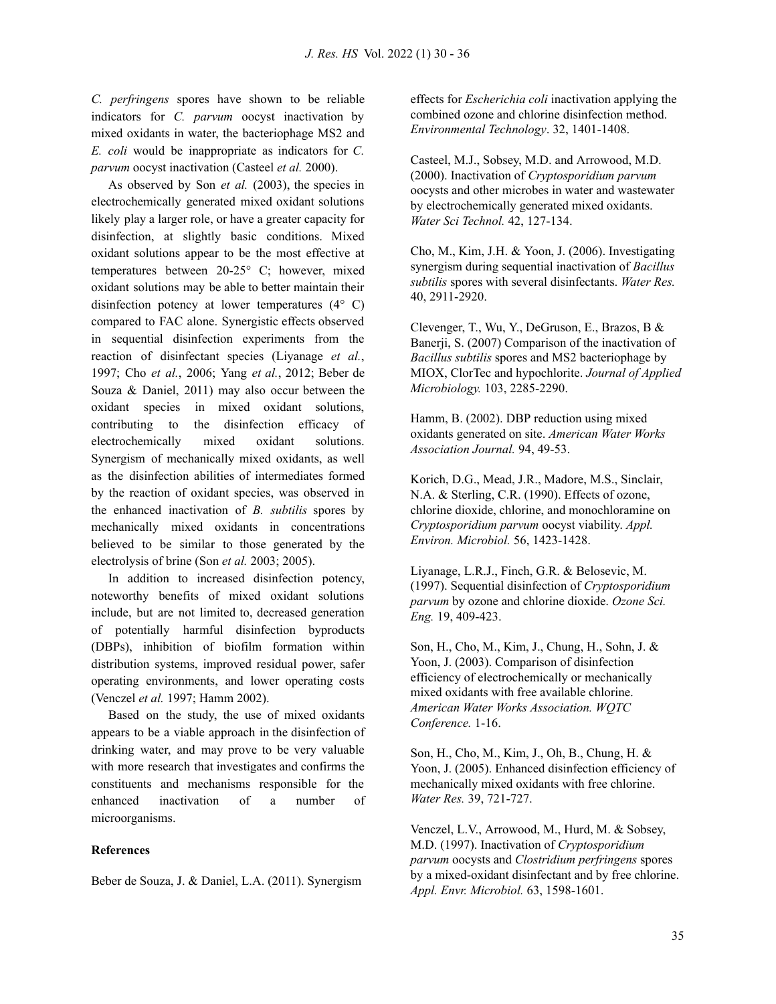*C. perfringens* spores have shown to be reliable indicators for *C. parvum* oocyst inactivation by mixed oxidants in water, the bacteriophage MS2 and *E. coli* would be inappropriate as indicators for *C. parvum* oocyst inactivation (Casteel *et al.* 2000).

As observed by Son *et al.* (2003), the species in electrochemically generated mixed oxidant solutions likely play a larger role, or have a greater capacity for disinfection, at slightly basic conditions. Mixed oxidant solutions appear to be the most effective at temperatures between 20-25° C; however, mixed oxidant solutions may be able to better maintain their disinfection potency at lower temperatures  $(4^{\circ} \text{ C})$ compared to FAC alone. Synergistic effects observed in sequential disinfection experiments from the reaction of disinfectant species (Liyanage *et al.*, 1997; Cho *et al.*, 2006; Yang *et al.*, 2012; Beber de Souza & Daniel, 2011) may also occur between the oxidant species in mixed oxidant solutions, contributing to the disinfection efficacy of electrochemically mixed oxidant solutions. Synergism of mechanically mixed oxidants, as well as the disinfection abilities of intermediates formed by the reaction of oxidant species, was observed in the enhanced inactivation of *B. subtilis* spores by mechanically mixed oxidants in concentrations believed to be similar to those generated by the electrolysis of brine (Son *et al.* 2003; 2005).

In addition to increased disinfection potency, noteworthy benefits of mixed oxidant solutions include, but are not limited to, decreased generation of potentially harmful disinfection byproducts (DBPs), inhibition of biofilm formation within distribution systems, improved residual power, safer operating environments, and lower operating costs (Venczel *et al.* 1997; Hamm 2002).

Based on the study, the use of mixed oxidants appears to be a viable approach in the disinfection of drinking water, and may prove to be very valuable with more research that investigates and confirms the constituents and mechanisms responsible for the enhanced inactivation of a number of microorganisms.

### **References**

Beber de Souza, J. & Daniel, L.A. (2011). Synergism

effects for *Escherichia coli* inactivation applying the combined ozone and chlorine disinfection method. *Environmental Technology*. 32, 1401-1408.

Casteel, M.J., Sobsey, M.D. and Arrowood, M.D. (2000). Inactivation of *Cryptosporidium parvum* oocysts and other microbes in water and wastewater by electrochemically generated mixed oxidants. *Water Sci Technol.* 42, 127-134.

Cho, M., Kim, J.H. & Yoon, J. (2006). Investigating synergism during sequential inactivation of *Bacillus subtilis* spores with several disinfectants. *Water Res.* 40, 2911-2920.

Clevenger, T., Wu, Y., DeGruson, E., Brazos, B & Banerji, S. (2007) Comparison of the inactivation of *Bacillus subtilis* spores and MS2 bacteriophage by MIOX, ClorTec and hypochlorite. *Journal of Applied Microbiology.* 103, 2285-2290.

Hamm, B. (2002). DBP reduction using mixed oxidants generated on site. *American Water Works Association Journal.* 94, 49-53.

Korich, D.G., Mead, J.R., Madore, M.S., Sinclair, N.A. & Sterling, C.R. (1990). Effects of ozone, chlorine dioxide, chlorine, and monochloramine on *Cryptosporidium parvum* oocyst viability. *Appl. Environ. Microbiol.* 56, 1423-1428.

Liyanage, L.R.J., Finch, G.R. & Belosevic, M. (1997). Sequential disinfection of *Cryptosporidium parvum* by ozone and chlorine dioxide. *Ozone Sci. Eng.* 19, 409-423.

Son, H., Cho, M., Kim, J., Chung, H., Sohn, J. & Yoon, J. (2003). Comparison of disinfection efficiency of electrochemically or mechanically mixed oxidants with free available chlorine. *American Water Works Association. WQTC Conference.* 1-16.

Son, H., Cho, M., Kim, J., Oh, B., Chung, H. & Yoon, J. (2005). Enhanced disinfection efficiency of mechanically mixed oxidants with free chlorine. *Water Res.* 39, 721-727.

Venczel, L.V., Arrowood, M., Hurd, M. & Sobsey, M.D. (1997). Inactivation of *Cryptosporidium parvum* oocysts and *Clostridium perfringens* spores by a mixed-oxidant disinfectant and by free chlorine. *Appl. Envr. Microbiol.* 63, 1598-1601.